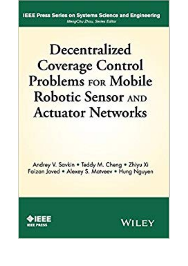**IEEE Press Series on Systems Science and Engineering** MergChy Thay, Series Editor

## Decentralized **Coverage Control Problems FOR Mobile Robotic Sensor AND Actuator Networks**

Andrey V. Savkin . Teddy M. Chena . Zhiyu Xi Faizan Javed . Alexay S. Matveev . Hung Nauven



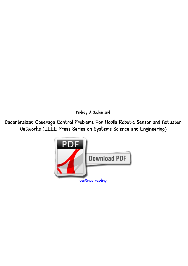*Andrey V. Savkin and*

*Decentralized Coverage Control Problems For Mobile Robotic Sensor and Actuator Networks (IEEE Press Series on Systems Science and Engineering)*

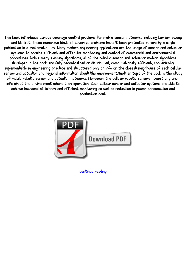*This book introduces various coverage control problems for mobile sensor networks including barrier, sweep and blanket. These numerous kinds of coverage problems haven't been protected before by a single publication in a systematic way. Many modern engineering applications are the usage of sensor and actuator systems to provide efficient and effective monitoring and control of commercial and environmental procedures. Unlike many existing algorithms, all of the robotic sensor and actuator motion algorithms developed in the book are fully decentralized or distributed, computationally efficient, conveniently implementable in engineering practice and structured only on info on the closest neighbours of each cellular sensor and actuator and regional information about the environment.Another topic of the book is the study of mobile robotic sensor and actuator networks. Moreover, the cellular robotic sensors haven't any prior info about the environment where they operation. Such cellular sensor and actuator systems are able to achieve improved efficiency and efficient monitoring as well as reduction in power consumption and production cost.*



*[continue reading](http://bit.ly/2Tge8Fv)*